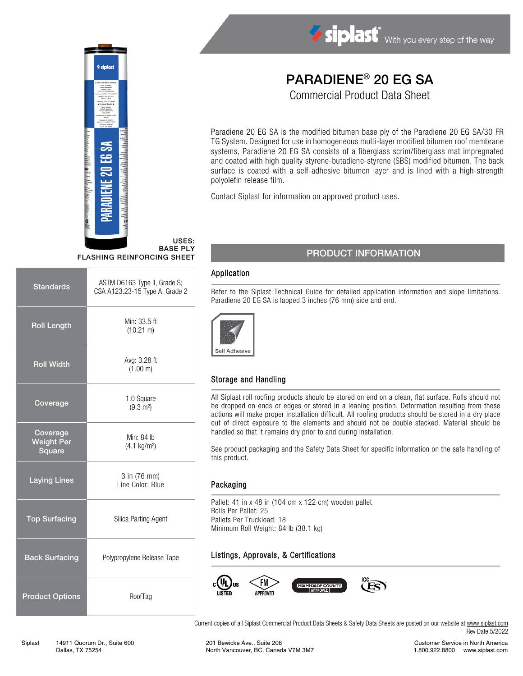

# Siplast With you every step of the way

## PARADIENE® 20 EG SA

Commercial Product Data Sheet

Paradiene 20 EG SA is the modified bitumen base ply of the Paradiene 20 EG SA/30 FR TG System. Designed for use in homogeneous multi-layer modified bitumen roof membrane systems, Paradiene 20 EG SA consists of a fiberglass scrim/fiberglass mat impregnated and coated with high quality styrene-butadiene-styrene (SBS) modified bitumen. The back surface is coated with a self-adhesive bitumen layer and is lined with a high-strength polyolefin release film.

Contact Siplast for information on approved product uses.

#### USES: BASE PLY FLASHING REINFORCING SHEET

| <b>Standards</b>                        | ASTM D6163 Type II, Grade S;<br>CSA A123.23-15 Type A, Grade 2 |  |  |
|-----------------------------------------|----------------------------------------------------------------|--|--|
| <b>Roll Length</b>                      | Min: 33.5 ft<br>$(10.21 \text{ m})$                            |  |  |
| <b>Roll Width</b>                       | Avg: 3.28 ft<br>(1.00 m)                                       |  |  |
| Coverage                                | 1.0 Square<br>$(9.3 \text{ m}^2)$                              |  |  |
| Coverage<br><b>Weight Per</b><br>Square | Min: 84 lb<br>$(4.1 \text{ kg/m}^2)$                           |  |  |
| <b>Laying Lines</b>                     | 3 in (76 mm)<br>Line Color: Blue                               |  |  |
| <b>Top Surfacing</b>                    | Silica Parting Agent                                           |  |  |
| <b>Back Surfacing</b>                   | Polypropylene Release Tape                                     |  |  |
| <b>Product Options</b>                  | RoofTag                                                        |  |  |

### PRODUCT INFORMATION

#### Application

Refer to the Siplast Technical Guide for detailed application information and slope limitations. Paradiene 20 EG SA is lapped 3 inches (76 mm) side and end.



#### Storage and Handling

All Siplast roll roofing products should be stored on end on a clean, flat surface. Rolls should not be dropped on ends or edges or stored in a leaning position. Deformation resulting from these actions will make proper installation difficult. All roofing products should be stored in a dry place out of direct exposure to the elements and should not be double stacked. Material should be handled so that it remains dry prior to and during installation.

See product packaging and the Safety Data Sheet for specific information on the safe handling of this product.

#### Packaging

Pallet: 41 in x 48 in (104 cm x 122 cm) wooden pallet Rolls Per Pallet: 25 Pallets Per Truckload: 18 Minimum Roll Weight: 84 lb (38.1 kg)

#### Listings, Approvals, & Certifications



Current copies of all Siplast Commercial Product Data Sheets & Safety Data Sheets are posted on our website at [www.siplast.com](http://www.siplast.com/) Rev Date 5/2022